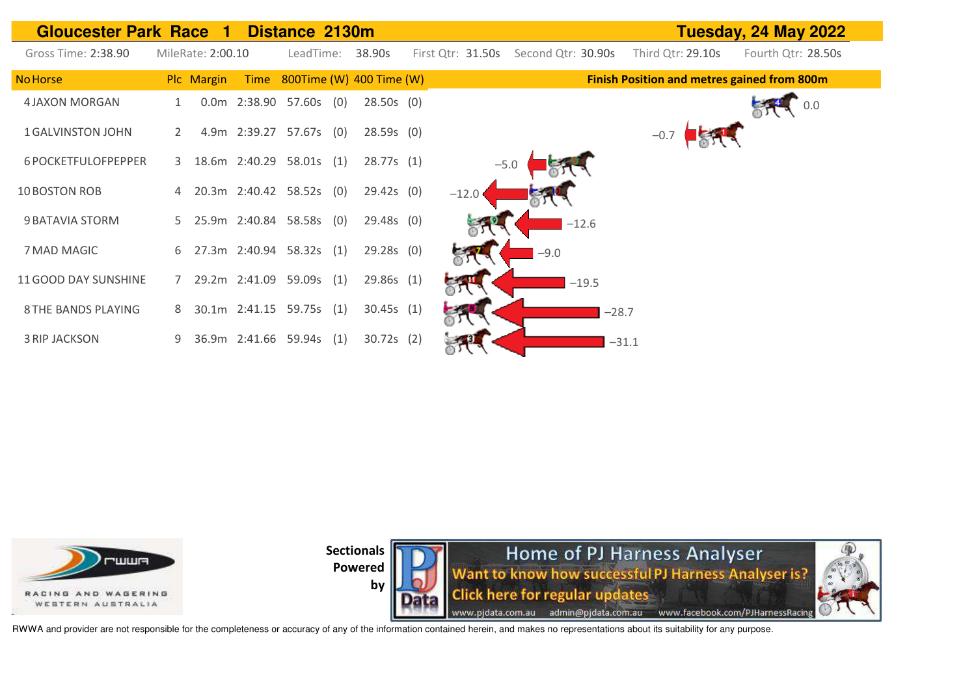| <b>Gloucester Park Race</b><br>Distance 2130m<br>-1 |             |                   |      |                          |  |                          |  |                   |                    |         |                                                    | Tuesday, 24 May 2022 |     |
|-----------------------------------------------------|-------------|-------------------|------|--------------------------|--|--------------------------|--|-------------------|--------------------|---------|----------------------------------------------------|----------------------|-----|
| Gross Time: 2:38.90                                 |             | MileRate: 2:00.10 |      | LeadTime:                |  | 38.90s                   |  | First Qtr: 31.50s | Second Qtr: 30.90s |         | Third Qtr: 29.10s                                  | Fourth Qtr: 28.50s   |     |
| <b>No Horse</b>                                     |             | Plc Margin        | Time |                          |  | 800Time (W) 400 Time (W) |  |                   |                    |         | <b>Finish Position and metres gained from 800m</b> |                      |     |
| <b>4 JAXON MORGAN</b>                               |             |                   |      | 0.0m 2:38.90 57.60s (0)  |  | $28.50s$ (0)             |  |                   |                    |         |                                                    |                      | 0.0 |
| <b>1 GALVINSTON JOHN</b>                            | 2           |                   |      | 4.9m 2:39.27 57.67s (0)  |  | $28.59s$ (0)             |  |                   |                    |         | $-0.7$                                             |                      |     |
| 6 POCKETFULOFPEPPER                                 | 3           |                   |      | 18.6m 2:40.29 58.01s (1) |  | 28.77s(1)                |  | $-5.0$            |                    |         |                                                    |                      |     |
| 10 BOSTON ROB                                       |             |                   |      | 20.3m 2:40.42 58.52s (0) |  | 29.42s(0)                |  | $-12.0$           |                    |         |                                                    |                      |     |
| 9 BATAVIA STORM                                     | 5           |                   |      | 25.9m 2:40.84 58.58s (0) |  | $29.48s$ (0)             |  |                   | $-12.6$            |         |                                                    |                      |     |
| 7 MAD MAGIC                                         | 6.          |                   |      | 27.3m 2:40.94 58.32s (1) |  | $29.28s$ (0)             |  |                   | $-9.0$             |         |                                                    |                      |     |
| 11 GOOD DAY SUNSHINE                                | $7^{\circ}$ |                   |      | 29.2m 2:41.09 59.09s (1) |  | 29.86s (1)               |  |                   | $-19.5$            |         |                                                    |                      |     |
| <b>8 THE BANDS PLAYING</b>                          | 8           |                   |      | 30.1m 2:41.15 59.75s (1) |  | 30.45s(1)                |  |                   |                    | $-28.7$ |                                                    |                      |     |
| <b>3 RIP JACKSON</b>                                | 9           |                   |      | 36.9m 2:41.66 59.94s (1) |  | $30.72s$ (2)             |  |                   |                    |         | $-31.1$                                            |                      |     |



**Home of PJ Harness Analyser**<br>Want to know how successful PJ Harness Analyser is? **Click here for regular updates** www.pjdata.com.au admin@pjdata.com.au www.facebook.com/PJHarnessRacing



RWWA and provider are not responsible for the completeness or accuracy of any of the information contained herein, and makes no representations about its suitability for any purpose.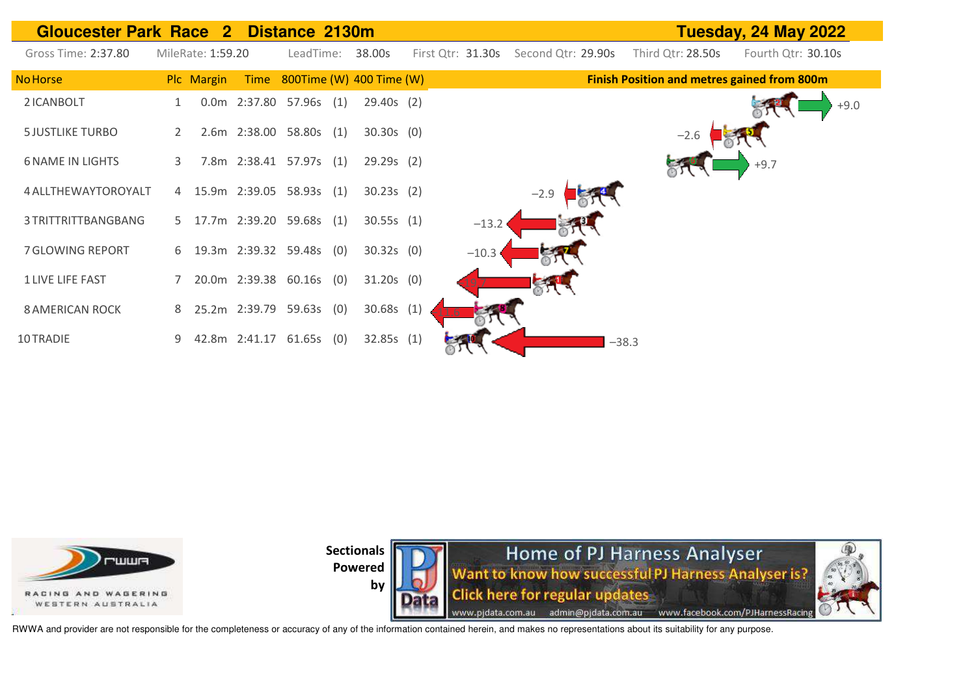| Gloucester Park Race 2 Distance 2130m |   |                   |               |                            |     |                          |     |                   |        |                    |         |                   | Tuesday, 24 May 2022                               |
|---------------------------------------|---|-------------------|---------------|----------------------------|-----|--------------------------|-----|-------------------|--------|--------------------|---------|-------------------|----------------------------------------------------|
| Gross Time: 2:37.80                   |   | MileRate: 1:59.20 |               | LeadTime:                  |     | 38.00s                   |     | First Qtr: 31.30s |        | Second Qtr: 29.90s |         | Third Qtr: 28.50s | Fourth Qtr: 30.10s                                 |
| <b>No Horse</b>                       |   | Plc Margin        | Time          |                            |     | 800Time (W) 400 Time (W) |     |                   |        |                    |         |                   | <b>Finish Position and metres gained from 800m</b> |
| 2 ICANBOLT                            |   |                   |               | 0.0m 2:37.80 57.96s (1)    |     | $29.40s$ (2)             |     |                   |        |                    |         |                   | $+9.0$                                             |
| <b>5 JUSTLIKE TURBO</b>               | 2 |                   |               | 2.6m 2:38.00 58.80s (1)    |     | $30.30s$ (0)             |     |                   |        |                    |         | $-2.6$            |                                                    |
| <b>6 NAME IN LIGHTS</b>               | 3 |                   |               | 7.8m 2:38.41 57.97s (1)    |     | 29.29s(2)                |     |                   |        |                    |         |                   | $+9.7$                                             |
| 4 ALLTHEWAYTOROYALT                   |   |                   |               | 4 15.9m 2:39.05 58.93s (1) |     | 30.23s(2)                |     |                   | $-2.9$ |                    |         |                   |                                                    |
| 3 TRITTRITTBANGBANG                   | 5 |                   |               | 17.7m 2:39.20 59.68s (1)   |     | 30.55s(1)                |     | $-13.2$           |        |                    |         |                   |                                                    |
| 7 GLOWING REPORT                      | 6 |                   |               | 19.3m 2:39.32 59.48s (0)   |     | $30.32s$ (0)             |     | $-10.3$           |        |                    |         |                   |                                                    |
| <b>1 LIVE LIFE FAST</b>               |   |                   | 20.0m 2:39.38 | $60.16s$ (0)               |     | $31.20s$ (0)             |     |                   |        |                    |         |                   |                                                    |
| <b>8 AMERICAN ROCK</b>                | 8 |                   | 25.2m 2:39.79 | 59.63s                     | (0) | 30.68s                   | (1) |                   |        |                    |         |                   |                                                    |
| 10 TRADIE                             | 9 |                   | 42.8m 2:41.17 | $61.65s$ (0)               |     | 32.85s(1)                |     |                   |        |                    | $-38.3$ |                   |                                                    |



**Home of PJ Harness Analyser**<br>Want to know how successful PJ Harness Analyser is? **Click here for regular updates** www.pjdata.com.au admin@pjdata.com.au www.facebook.com/PJHarnessRacing



RWWA and provider are not responsible for the completeness or accuracy of any of the information contained herein, and makes no representations about its suitability for any purpose.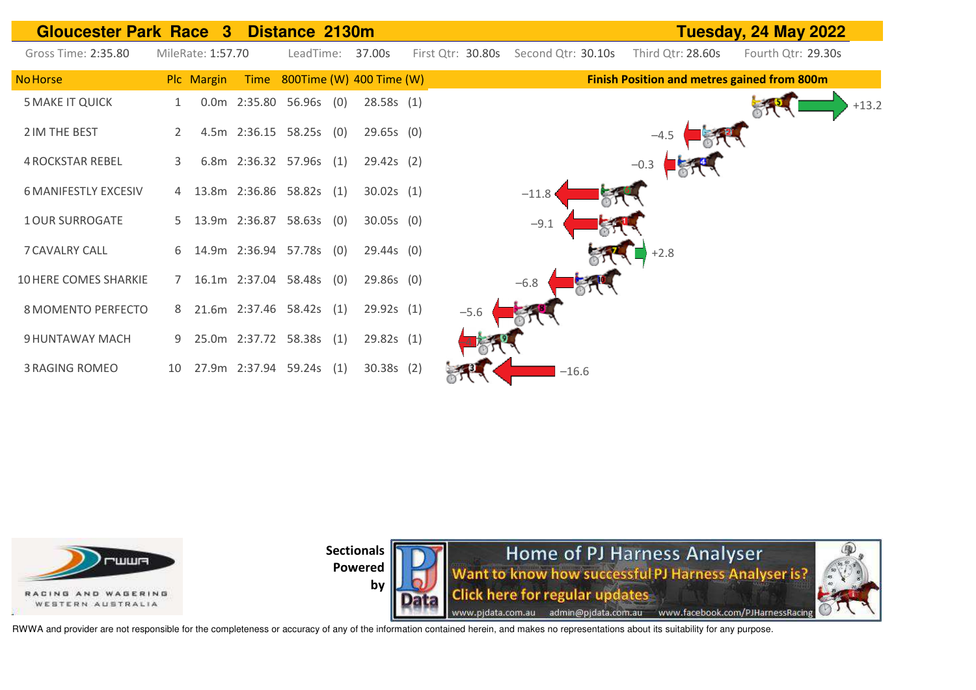| <b>Gloucester Park Race 3</b> |    |                   |                            | Distance 2130m |     |                               | Tuesday, 24 May 2022 |                    |                   |                                                    |
|-------------------------------|----|-------------------|----------------------------|----------------|-----|-------------------------------|----------------------|--------------------|-------------------|----------------------------------------------------|
| Gross Time: 2:35.80           |    | MileRate: 1:57.70 |                            | LeadTime:      |     | 37.00s                        | First Qtr: 30.80s    | Second Qtr: 30.10s | Third Qtr: 28.60s | Fourth Qtr: 29.30s                                 |
| <b>No Horse</b>               |    | Plc Margin        |                            |                |     | Time 800Time (W) 400 Time (W) |                      |                    |                   | <b>Finish Position and metres gained from 800m</b> |
| <b>5 MAKE IT QUICK</b>        |    |                   | 0.0m 2:35.80 56.96s (0)    |                |     | 28.58s(1)                     |                      |                    |                   | $+13.2$                                            |
| 2 IM THE BEST                 |    |                   | 4.5m 2:36.15 58.25s (0)    |                |     | $29.65s$ (0)                  |                      |                    | $-4.5$            |                                                    |
| <b>4 ROCKSTAR REBEL</b>       | 3  |                   | 6.8m 2:36.32 57.96s (1)    |                |     | 29.42s(2)                     |                      |                    | $-0.3$            |                                                    |
| <b>6 MANIFESTLY EXCESIV</b>   |    |                   | 13.8m 2:36.86 58.82s (1)   |                |     | 30.02s(1)                     |                      | $-11.8$            |                   |                                                    |
| <b>1 OUR SURROGATE</b>        |    |                   | 5 13.9m 2:36.87 58.63s (0) |                |     | $30.05s$ (0)                  |                      | $-9.1$             |                   |                                                    |
| <b>7 CAVALRY CALL</b>         |    |                   | 6 14.9m 2:36.94 57.78s (0) |                |     | $29.44s$ (0)                  |                      |                    | $+2.8$            |                                                    |
| 10 HERE COMES SHARKIE         | 7  |                   | 16.1m 2:37.04 58.48s (0)   |                |     | $29.86s$ (0)                  |                      | $-6.8$             |                   |                                                    |
| 8 MOMENTO PERFECTO            |    |                   | 8 21.6m 2:37.46 58.42s (1) |                |     | 29.92s(1)                     | $-5.6$               |                    |                   |                                                    |
| 9 HUNTAWAY MACH               | 9  |                   | 25.0m 2:37.72 58.38s (1)   |                |     | 29.82s(1)                     |                      |                    |                   |                                                    |
| <b>3 RAGING ROMEO</b>         | 10 |                   | 27.9m 2:37.94 59.24s       |                | (1) | $30.38s$ (2)                  |                      | $-16.6$            |                   |                                                    |



**by** 

**Home of PJ Harness Analyser**<br>Want to know how successful PJ Harness Analyser is? **Click here for regular updates** www.pjdata.com.au admin@pjdata.com.au www.facebook.com/PJHarnessRacing

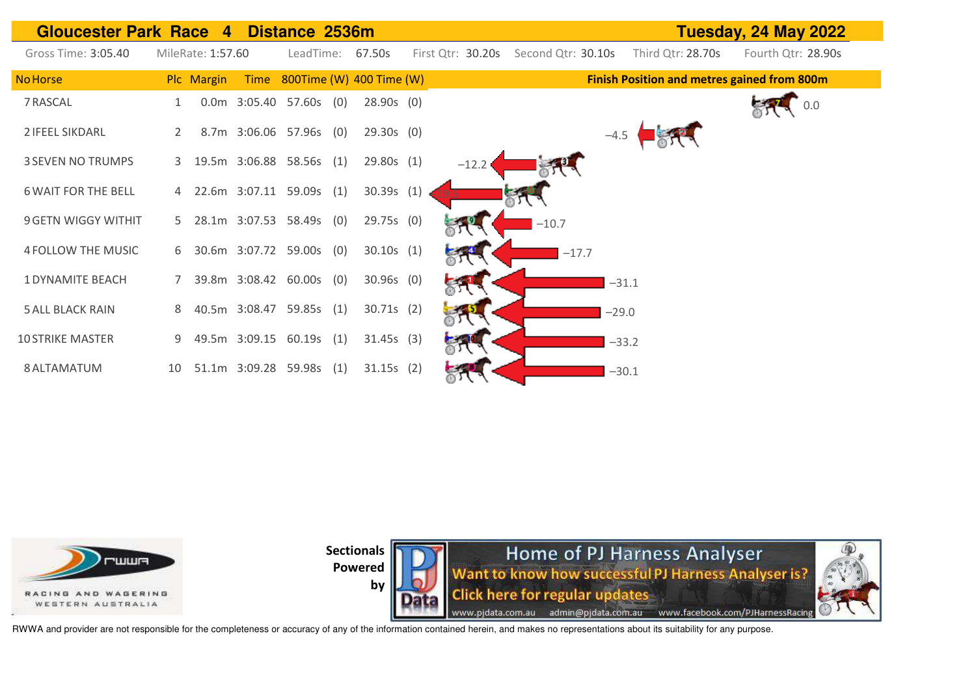



by

**Home of PJ Harness Analyser** Want to know how successful PJ Harness Analyser is? **Click here for regular updates** www.pjdata.com.au admin@pjdata.com.au www.facebook.com/PJHarnessRacing

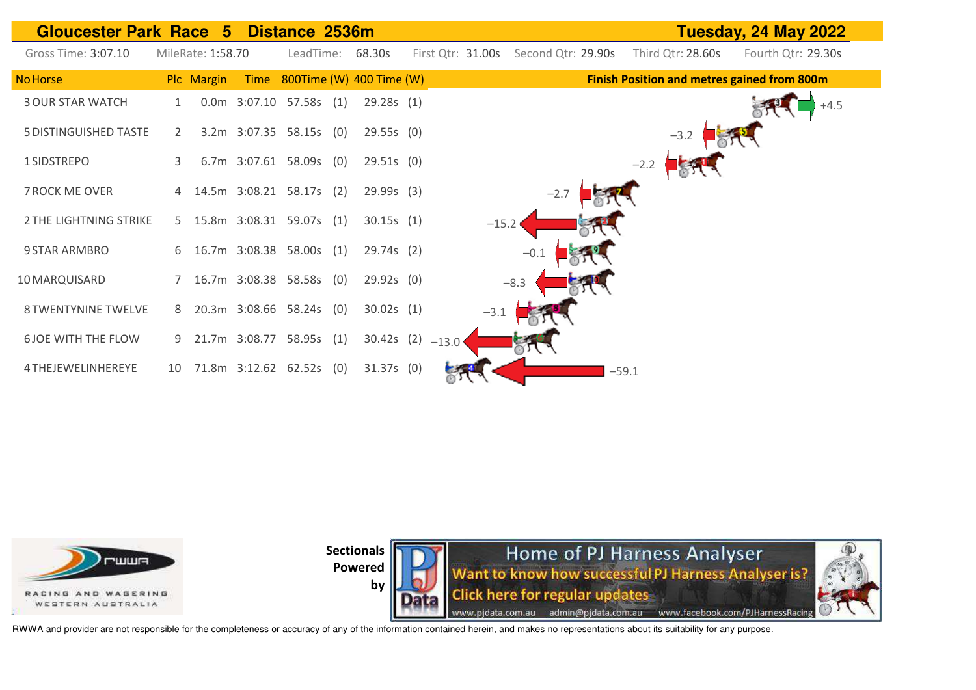



**by** 



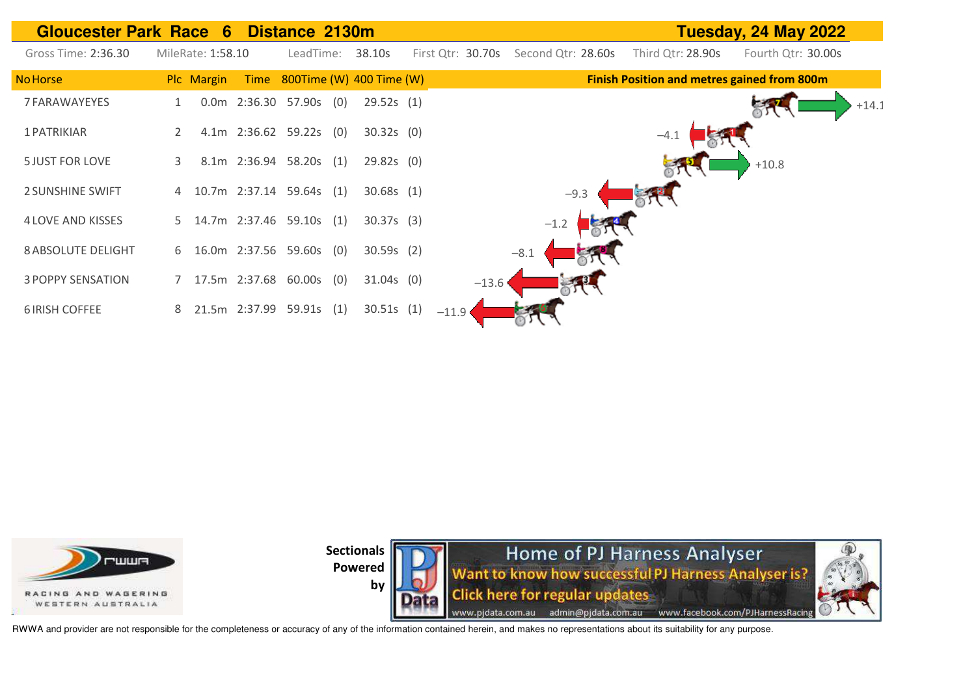





RWWA and provider are not responsible for the completeness or accuracy of any of the information contained herein, and makes no representations about its suitability for any purpose.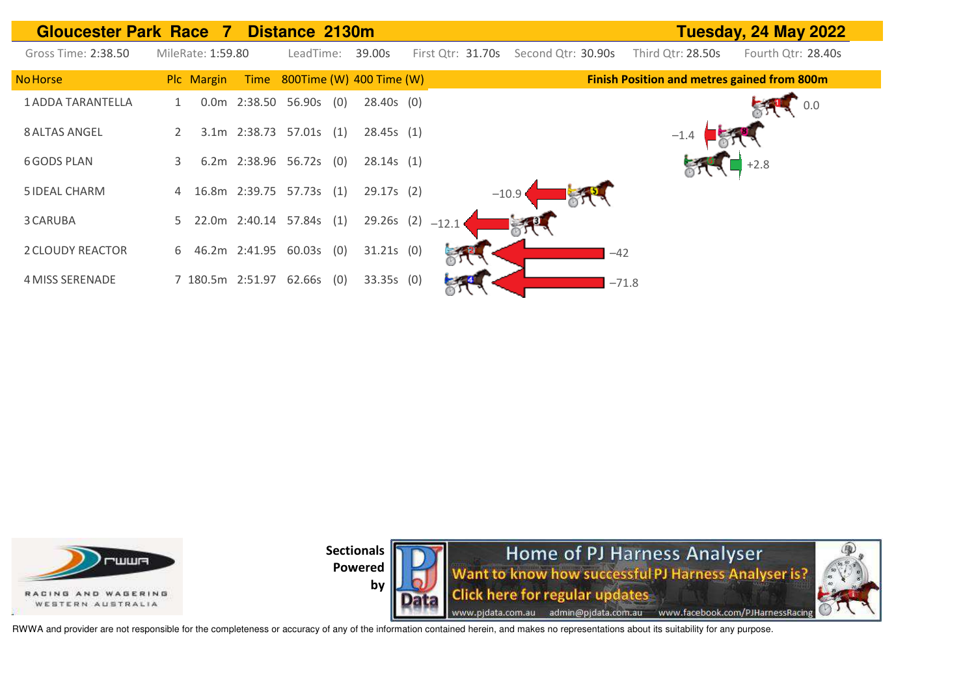



by